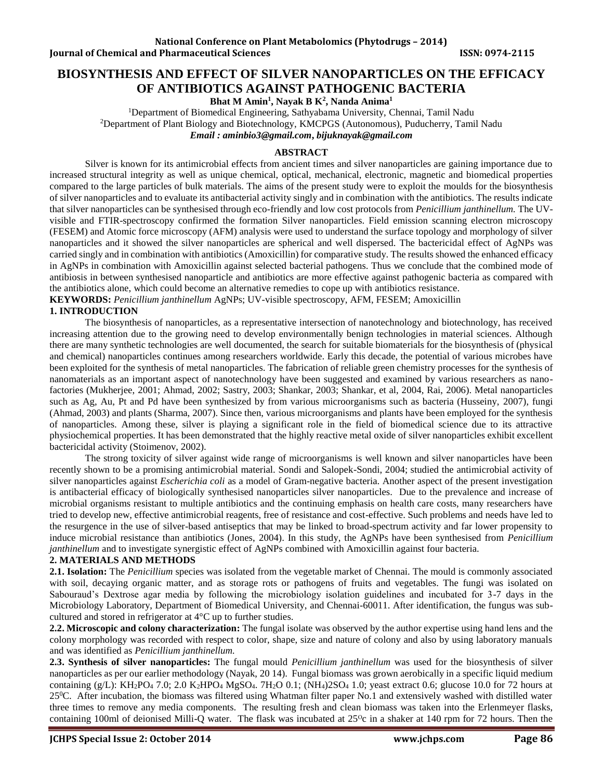# **BIOSYNTHESIS AND EFFECT OF SILVER NANOPARTICLES ON THE EFFICACY OF ANTIBIOTICS AGAINST PATHOGENIC BACTERIA**

**Bhat M Amin<sup>1</sup> , Nayak B K<sup>2</sup> , Nanda Anima<sup>1</sup>**

<sup>1</sup>Department of Biomedical Engineering, Sathyabama University, Chennai, Tamil Nadu <sup>2</sup>Department of Plant Biology and Biotechnology, KMCPGS (Autonomous), Puducherry, Tamil Nadu *Email : [aminbio3@gmail.com](mailto:aminbio3@gmail.com)***,** *[bijuknayak@gmail.com](mailto:bijuknayak@gmail.com)*

# **ABSTRACT**

Silver is known for its antimicrobial effects from ancient times and silver nanoparticles are gaining importance due to increased structural integrity as well as unique chemical, optical, mechanical, electronic, magnetic and biomedical properties compared to the large particles of bulk materials. The aims of the present study were to exploit the moulds for the biosynthesis of silver nanoparticles and to evaluate its antibacterial activity singly and in combination with the antibiotics. The results indicate that silver nanoparticles can be synthesised through eco-friendly and low cost protocols from *Penicillium janthinellum.* The UVvisible and FTIR-spectroscopy confirmed the formation Silver nanoparticles. Field emission scanning electron microscopy (FESEM) and Atomic force microscopy (AFM) analysis were used to understand the surface topology and morphology of silver nanoparticles and it showed the silver nanoparticles are spherical and well dispersed. The bactericidal effect of AgNPs was carried singly and in combination with antibiotics (Amoxicillin) for comparative study. The results showed the enhanced efficacy in AgNPs in combination with Amoxicillin against selected bacterial pathogens. Thus we conclude that the combined mode of antibiosis in between synthesised nanoparticle and antibiotics are more effective against pathogenic bacteria as compared with the antibiotics alone, which could become an alternative remedies to cope up with antibiotics resistance.

**KEYWORDS:** *Penicillium janthinellum* AgNPs; UV-visible spectroscopy, AFM, FESEM; Amoxicillin

# **1. INTRODUCTION**

The biosynthesis of nanoparticles, as a representative intersection of nanotechnology and biotechnology, has received increasing attention due to the growing need to develop environmentally benign technologies in material sciences. Although there are many synthetic technologies are well documented, the search for suitable biomaterials for the biosynthesis of (physical and chemical) nanoparticles continues among researchers worldwide. Early this decade, the potential of various microbes have been exploited for the synthesis of metal nanoparticles. The fabrication of reliable green chemistry processes for the synthesis of nanomaterials as an important aspect of nanotechnology have been suggested and examined by various researchers as nanofactories (Mukherjee, 2001; Ahmad, 2002; Sastry, 2003; Shankar, 2003; Shankar, et al, 2004, Rai, 2006). Metal nanoparticles such as Ag, Au, Pt and Pd have been synthesized by from various microorganisms such as bacteria (Husseiny, 2007), fungi (Ahmad, 2003) and plants (Sharma, 2007). Since then, various microorganisms and plants have been employed for the synthesis of nanoparticles. Among these, silver is playing a significant role in the field of biomedical science due to its attractive physiochemical properties. It has been demonstrated that the highly reactive metal oxide of silver nanoparticles exhibit excellent bactericidal activity (Stoimenov, 2002).

The strong toxicity of silver against wide range of microorganisms is well known and silver nanoparticles have been recently shown to be a promising antimicrobial material. Sondi and Salopek-Sondi, 2004; studied the antimicrobial activity of silver nanoparticles against *Escherichia coli* as a model of Gram-negative bacteria. Another aspect of the present investigation is antibacterial efficacy of biologically synthesised nanoparticles silver nanoparticles. Due to the prevalence and increase of microbial organisms resistant to multiple antibiotics and the continuing emphasis on health care costs, many researchers have tried to develop new, effective antimicrobial reagents, free of resistance and cost-effective. Such problems and needs have led to the resurgence in the use of silver-based antiseptics that may be linked to broad-spectrum activity and far lower propensity to induce microbial resistance than antibiotics (Jones, 2004). In this study, the AgNPs have been synthesised from *Penicillium janthinellum* and to investigate synergistic effect of AgNPs combined with Amoxicillin against four bacteria.

# **2. MATERIALS AND METHODS**

**2.1. Isolation:** The *Penicillium* species was isolated from the vegetable market of Chennai. The mould is commonly associated with soil, decaying organic matter, and as storage rots or pathogens of fruits and vegetables. The fungi was isolated on Sabouraud's Dextrose agar media by following the microbiology isolation guidelines and incubated for 3-7 days in the Microbiology Laboratory, Department of Biomedical University, and Chennai-60011. After identification, the fungus was subcultured and stored in refrigerator at 4°C up to further studies.

**2.2. Microscopic and colony characterization:** The fungal isolate was observed by the author expertise using hand lens and the colony morphology was recorded with respect to color, shape, size and nature of colony and also by using laboratory manuals and was identified as *Penicillium janthinellum.*

**2.3. Synthesis of silver nanoparticles:** The fungal mould *Penicillium janthinellum* was used for the biosynthesis of silver nanoparticles as per our earlier methodology (Nayak, 20 14). Fungal biomass was grown aerobically in a specific liquid medium containing (g/L): KH<sub>2</sub>PO<sub>4</sub> 7.0; 2.0 K<sub>2</sub>HPO<sub>4</sub> MgSO<sub>4</sub>. 7H<sub>2</sub>O 0.1; (NH<sub>4</sub>)2SO<sub>4</sub> 1.0; yeast extract 0.6; glucose 10.0 for 72 hours at  $25^{\circ}$ C. After incubation, the biomass was filtered using Whatman filter paper No.1 and extensively washed with distilled water three times to remove any media components. The resulting fresh and clean biomass was taken into the Erlenmeyer flasks, containing 100ml of deionised Milli-Q water. The flask was incubated at 25<sup>o</sup>c in a shaker at 140 rpm for 72 hours. Then the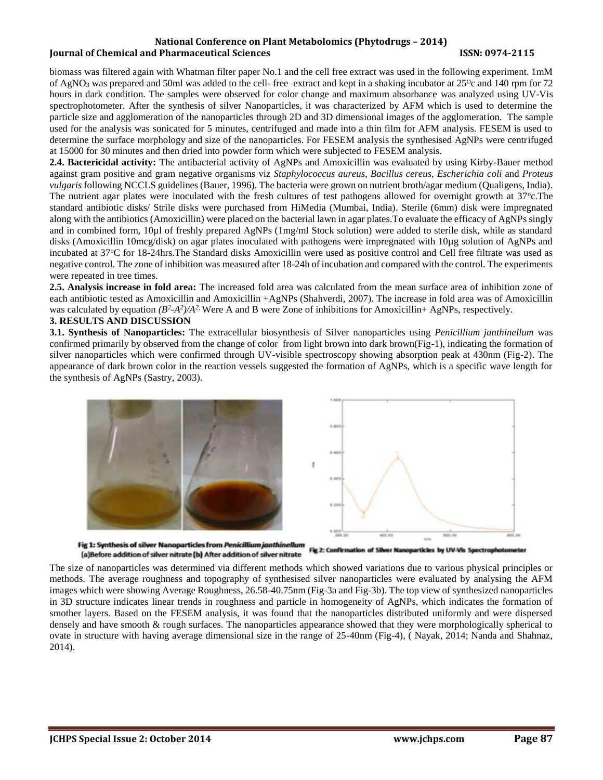### **National Conference on Plant Metabolomics (Phytodrugs – 2014) Iournal of Chemical and Pharmaceutical Sciences ISSN: 0974-2115**

biomass was filtered again with Whatman filter paper No.1 and the cell free extract was used in the following experiment. 1mM of AgNO<sub>3</sub> was prepared and 50ml was added to the cell- free–extract and kept in a shaking incubator at 25<sup>o</sup>c and 140 rpm for 72 hours in dark condition. The samples were observed for color change and maximum absorbance was analyzed using UV-Vis spectrophotometer. After the synthesis of silver Nanoparticles, it was characterized by AFM which is used to determine the particle size and agglomeration of the nanoparticles through 2D and 3D dimensional images of the agglomeration. The sample used for the analysis was sonicated for 5 minutes, centrifuged and made into a thin film for AFM analysis. FESEM is used to determine the surface morphology and size of the nanoparticles. For FESEM analysis the synthesised AgNPs were centrifuged at 15000 for 30 minutes and then dried into powder form which were subjected to FESEM analysis.

**2.4. Bactericidal activity:** The antibacterial activity of AgNPs and Amoxicillin was evaluated by using Kirby-Bauer method against gram positive and gram negative organisms viz *Staphylococcus aureus*, *Bacillus cereus, Escherichia coli* and *Proteus vulgaris* following NCCLS guidelines (Bauer, 1996). The bacteria were grown on nutrient broth/agar medium (Qualigens, India). The nutrient agar plates were inoculated with the fresh cultures of test pathogens allowed for overnight growth at  $37^{\circ}$ c.The standard antibiotic disks/ Strile disks were purchased from HiMedia (Mumbai, India). Sterile (6mm) disk were impregnated along with the antibiotics (Amoxicillin) were placed on the bacterial lawn in agar plates.To evaluate the efficacy of AgNPs singly and in combined form, 10µl of freshly prepared AgNPs (1mg/ml Stock solution) were added to sterile disk, while as standard disks (Amoxicillin 10mcg/disk) on agar plates inoculated with pathogens were impregnated with 10µg solution of AgNPs and incubated at 37°C for 18-24hrs. The Standard disks Amoxicillin were used as positive control and Cell free filtrate was used as negative control. The zone of inhibition was measured after 18-24h of incubation and compared with the control. The experiments were repeated in tree times.

**2.5. Analysis increase in fold area:** The increased fold area was calculated from the mean surface area of inhibition zone of each antibiotic tested as Amoxicillin and Amoxicillin +AgNPs (Shahverdi, 2007). The increase in fold area was of Amoxicillin was calculated by equation  $(B^2 \text{-} A^2)/A^2$ . Were A and B were Zone of inhibitions for Amoxicillin+ AgNPs, respectively. **3. RESULTS AND DISCUSSION** 

**3.1. Synthesis of Nanoparticles:** The extracellular biosynthesis of Silver nanoparticles using *Penicillium janthinellum* was confirmed primarily by observed from the change of color from light brown into dark brown(Fig-1), indicating the formation of silver nanoparticles which were confirmed through UV-visible spectroscopy showing absorption peak at 430nm (Fig-2). The appearance of dark brown color in the reaction vessels suggested the formation of AgNPs, which is a specific wave length for the synthesis of AgNPs (Sastry, 2003).



Fig 2: Confirmation of 58 articles by UV-Vis Spectrop (a)Before addition of silver nitrate (b) After addition of silver nitrate

The size of nanoparticles was determined via different methods which showed variations due to various physical principles or methods. The average roughness and topography of synthesised silver nanoparticles were evaluated by analysing the AFM images which were showing Average Roughness, 26.58-40.75nm (Fig-3a and Fig-3b). The top view of synthesized nanoparticles in 3D structure indicates linear trends in roughness and particle in homogeneity of AgNPs, which indicates the formation of smother layers. Based on the FESEM analysis, it was found that the nanoparticles distributed uniformly and were dispersed densely and have smooth & rough surfaces. The nanoparticles appearance showed that they were morphologically spherical to ovate in structure with having average dimensional size in the range of 25-40nm (Fig-4), ( Nayak, 2014; Nanda and Shahnaz, 2014).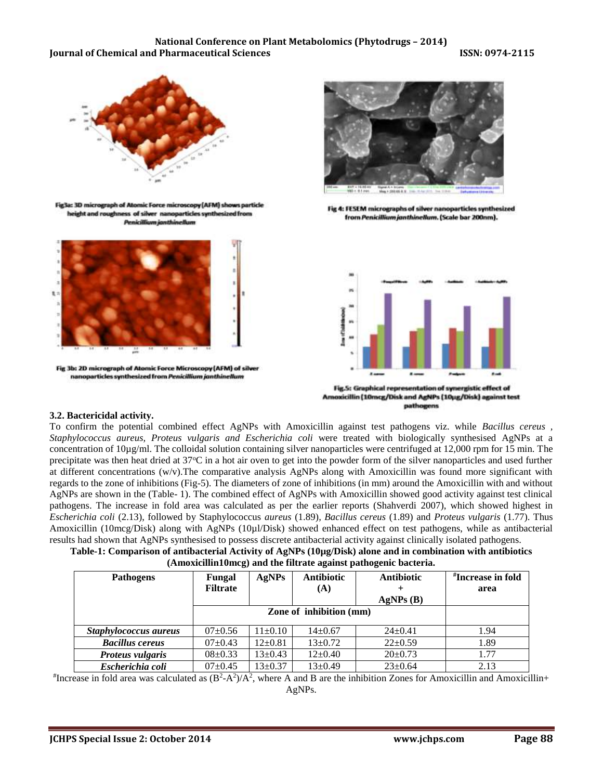#### **National Conference on Plant Metabolomics (Phytodrugs – 2014) Iournal of Chemical and Pharmaceutical Sciences ISSN: 0974-2115**



Fig3a: 3D micrograph of At icroscopy (AFM) shows particle height and roug ss of silver nanoparticles synthesized from





Fig 4: FESEM micrographs of silver nanoparticles synthesized from Penicillium janthinellum. (Scale bar 200nm).



Fig.S: Graphical representation of synergistic effect of Amoxicillin (10mcg/Disk and AgNPs (10µg/Disk) against test pathogens

#### **3.2. Bactericidal activity.**

To confirm the potential combined effect AgNPs with Amoxicillin against test pathogens viz. while *Bacillus cereus , Staphylococcus aureus, Proteus vulgaris and Escherichia coli* were treated with biologically synthesised AgNPs at a concentration of  $10\mu g/ml$ . The colloidal solution containing silver nanoparticles were centrifuged at 12,000 rpm for 15 min. The precipitate was then heat dried at 37°C in a hot air oven to get into the powder form of the silver nanoparticles and used further at different concentrations (w/v).The comparative analysis AgNPs along with Amoxicillin was found more significant with regards to the zone of inhibitions (Fig-5). The diameters of zone of inhibitions (in mm) around the Amoxicillin with and without AgNPs are shown in the (Table- 1). The combined effect of AgNPs with Amoxicillin showed good activity against test clinical pathogens. The increase in fold area was calculated as per the earlier reports (Shahverdi 2007), which showed highest in *Escherichia coli* (2.13), followed by Staphylococcus *aureus* (1.89)*, Bacillus cereus* (1.89) and *Proteus vulgaris* (1.77). Thus Amoxicillin (10mcg/Disk) along with AgNPs (10µl/Disk) showed enhanced effect on test pathogens, while as antibacterial results had shown that AgNPs synthesised to possess discrete antibacterial activity against clinically isolated pathogens.

| Table-1: Comparison of antibacterial Activity of AgNPs (10µg/Disk) alone and in combination with antibiotics |
|--------------------------------------------------------------------------------------------------------------|
| (Amoxicillin10mcg) and the filtrate against pathogenic bacteria.                                             |

| <b>Pathogens</b>       | Fungal                  | <b>AgNPs</b>  | <b>Antibiotic</b> | <b>Antibiotic</b> | <i><b>H</b></i> Increase in fold |
|------------------------|-------------------------|---------------|-------------------|-------------------|----------------------------------|
|                        | <b>Filtrate</b>         |               | (A)               |                   | area                             |
|                        |                         |               |                   | AgNPs(B)          |                                  |
|                        | Zone of inhibition (mm) |               |                   |                   |                                  |
|                        |                         |               |                   |                   |                                  |
| Staphylococcus aureus  | $07 \pm 0.56$           | $11\pm0.10$   | $14 \pm 0.67$     | $24 \pm 0.41$     | 1.94                             |
| <b>Bacillus cereus</b> | $07 \pm 0.43$           | $12 \pm 0.81$ | $13 \pm 0.72$     | $22 \pm 0.59$     | 1.89                             |
| Proteus vulgaris       | $08 \pm 0.33$           | $13 \pm 0.43$ | $12\pm0.40$       | $20 \pm 0.73$     | 1.77                             |
| Escherichia coli       | $07+0.45$               | $13 \pm 0.37$ | $13 \pm 0.49$     | $23 \pm 0.64$     | 2.13                             |

 $*$ Increase in fold area was calculated as  $(B^2-A^2)/A^2$ , where A and B are the inhibition Zones for Amoxicillin and Amoxicillin+ AgNPs.